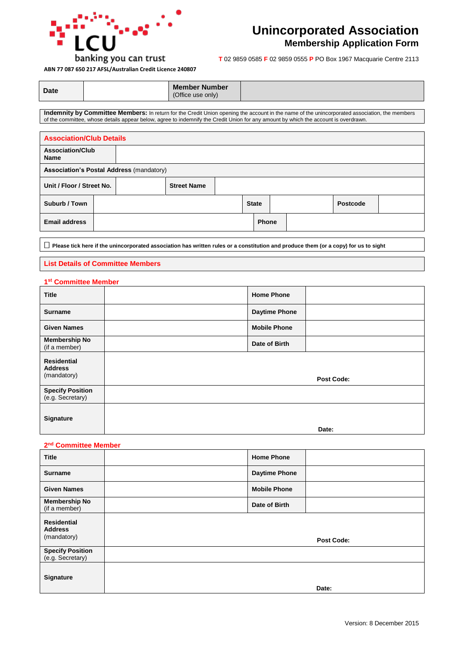

## **Unincorporated Association**

### **Membership Application Form**

**ABN 77 087 650 217 AFSL/Australian Credit Licence 240807**

**T** 02 9859 0585 **F** 02 9859 0555 **P** PO Box 1967 Macquarie Centre 2113

| <b>Date</b> | <b>Member Number</b><br>(Office use only) |  |
|-------------|-------------------------------------------|--|
|-------------|-------------------------------------------|--|

**Indemnity by Committee Members:** In return for the Credit Union opening the account in the name of the unincorporated association, the members of the committee, whose details appear below, agree to indemnify the Credit Union for any amount by which the account is overdrawn.

| <b>Association/Club Details</b>        |                                                 |  |                    |  |              |              |  |          |  |
|----------------------------------------|-------------------------------------------------|--|--------------------|--|--------------|--------------|--|----------|--|
| <b>Association/Club</b><br><b>Name</b> |                                                 |  |                    |  |              |              |  |          |  |
|                                        | <b>Association's Postal Address (mandatory)</b> |  |                    |  |              |              |  |          |  |
| Unit / Floor / Street No.              |                                                 |  | <b>Street Name</b> |  |              |              |  |          |  |
| Suburb / Town                          |                                                 |  |                    |  | <b>State</b> |              |  | Postcode |  |
| <b>Email address</b>                   |                                                 |  |                    |  |              | <b>Phone</b> |  |          |  |

**Please tick here if the unincorporated association has written rules or a constitution and produce them (or a copy) for us to sight** 

#### **List Details of Committee Members**

#### **1 st Committee Member**

| <b>Title</b>                                        | <b>Home Phone</b>    |                   |
|-----------------------------------------------------|----------------------|-------------------|
| <b>Surname</b>                                      | <b>Daytime Phone</b> |                   |
| <b>Given Names</b>                                  | <b>Mobile Phone</b>  |                   |
| <b>Membership No</b><br>(if a member)               | Date of Birth        |                   |
| <b>Residential</b><br><b>Address</b><br>(mandatory) |                      | <b>Post Code:</b> |
| <b>Specify Position</b><br>(e.g. Secretary)         |                      |                   |
| <b>Signature</b>                                    |                      | Date:             |

#### **2 nd Committee Member**

| <b>Title</b>                                        | <b>Home Phone</b>    |            |
|-----------------------------------------------------|----------------------|------------|
| <b>Surname</b>                                      | <b>Daytime Phone</b> |            |
| <b>Given Names</b>                                  | <b>Mobile Phone</b>  |            |
| <b>Membership No</b><br>(if a member)               | Date of Birth        |            |
| <b>Residential</b><br><b>Address</b><br>(mandatory) |                      | Post Code: |
| <b>Specify Position</b><br>(e.g. Secretary)         |                      |            |
| <b>Signature</b>                                    |                      | Date:      |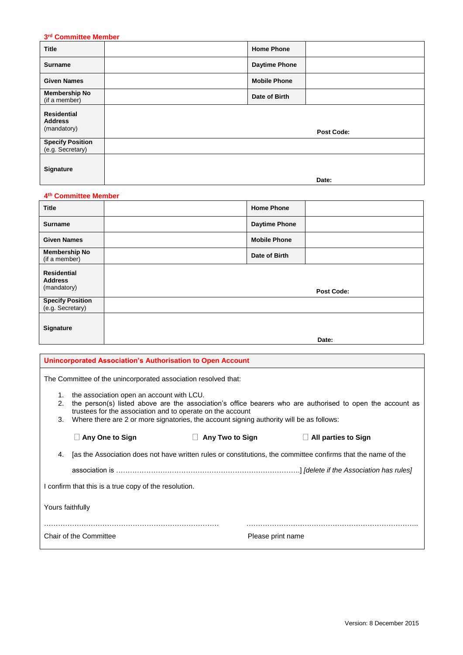#### **3 rd Committee Member**

| <b>Title</b>                                        | <b>Home Phone</b>    |                   |
|-----------------------------------------------------|----------------------|-------------------|
| <b>Surname</b>                                      | <b>Daytime Phone</b> |                   |
| <b>Given Names</b>                                  | <b>Mobile Phone</b>  |                   |
| <b>Membership No</b><br>(if a member)               | Date of Birth        |                   |
| <b>Residential</b><br><b>Address</b><br>(mandatory) |                      | <b>Post Code:</b> |
| <b>Specify Position</b><br>(e.g. Secretary)         |                      |                   |
| <b>Signature</b>                                    |                      | Date:             |

#### **4 th Committee Member**

| <b>Title</b>                                        | <b>Home Phone</b>    |                   |
|-----------------------------------------------------|----------------------|-------------------|
| <b>Surname</b>                                      | <b>Daytime Phone</b> |                   |
| <b>Given Names</b>                                  | <b>Mobile Phone</b>  |                   |
| <b>Membership No</b><br>(if a member)               | Date of Birth        |                   |
| <b>Residential</b><br><b>Address</b><br>(mandatory) |                      | <b>Post Code:</b> |
| <b>Specify Position</b><br>(e.g. Secretary)         |                      |                   |
| <b>Signature</b>                                    |                      | Date:             |

|                  | Unincorporated Association's Authorisation to Open Account                                                                                                                                                                                                                                                       |                           |                            |  |
|------------------|------------------------------------------------------------------------------------------------------------------------------------------------------------------------------------------------------------------------------------------------------------------------------------------------------------------|---------------------------|----------------------------|--|
|                  | The Committee of the unincorporated association resolved that:                                                                                                                                                                                                                                                   |                           |                            |  |
| 1.<br>2.<br>3.   | the association open an account with LCU.<br>the person(s) listed above are the association's office bearers who are authorised to open the account as<br>trustees for the association and to operate on the account<br>Where there are 2 or more signatories, the account signing authority will be as follows: |                           |                            |  |
|                  | Any One to Sign                                                                                                                                                                                                                                                                                                  | Any Two to Sign<br>$\Box$ | $\Box$ All parties to Sign |  |
| 4.               | [as the Association does not have written rules or constitutions, the committee confirms that the name of the                                                                                                                                                                                                    |                           |                            |  |
|                  |                                                                                                                                                                                                                                                                                                                  |                           |                            |  |
|                  | I confirm that this is a true copy of the resolution.                                                                                                                                                                                                                                                            |                           |                            |  |
| Yours faithfully |                                                                                                                                                                                                                                                                                                                  |                           |                            |  |
|                  | Chair of the Committee<br>Please print name                                                                                                                                                                                                                                                                      |                           |                            |  |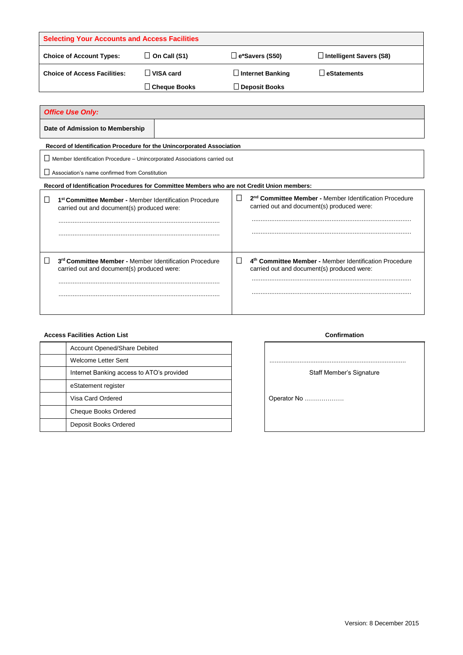| <b>Selecting Your Accounts and Access Facilities</b> |                     |                         |                         |
|------------------------------------------------------|---------------------|-------------------------|-------------------------|
| <b>Choice of Account Types:</b>                      | $\Box$ On Call (S1) | $\Box$ e*Savers (S50)   | Intelligent Savers (S8) |
| <b>Choice of Access Facilities:</b>                  | VISA card           | $\Box$ Internet Banking | <b>O</b> leStatements   |
|                                                      | Cheaue Books        | $\Box$ Deposit Books    |                         |

| <b>Office Use Only:</b>                                                                                                    |                                                                                                                       |
|----------------------------------------------------------------------------------------------------------------------------|-----------------------------------------------------------------------------------------------------------------------|
| Date of Admission to Membership                                                                                            |                                                                                                                       |
| Record of Identification Procedure for the Unincorporated Association                                                      |                                                                                                                       |
| $\Box$ Member Identification Procedure – Unincorporated Associations carried out                                           |                                                                                                                       |
| $\Box$ Association's name confirmed from Constitution                                                                      |                                                                                                                       |
| Record of Identification Procedures for Committee Members who are not Credit Union members:                                |                                                                                                                       |
| $\Box$<br>1 <sup>st</sup> Committee Member - Member Identification Procedure<br>carried out and document(s) produced were: | L<br>2 <sup>nd</sup> Committee Member - Member Identification Procedure<br>carried out and document(s) produced were: |
|                                                                                                                            |                                                                                                                       |
| $\Box$<br>3rd Committee Member - Member Identification Procedure<br>carried out and document(s) produced were:             | 4 <sup>th</sup> Committee Member - Member Identification Procedure<br>carried out and document(s) produced were:      |
|                                                                                                                            |                                                                                                                       |

| <b>Account Opened/Share Debited</b>       |
|-------------------------------------------|
| Welcome Letter Sent                       |
| Internet Banking access to ATO's provided |
| eStatement register                       |
| Visa Card Ordered                         |
| Cheque Books Ordered                      |
| Deposit Books Ordered                     |

# **Access Facilities Action List Confirmation** Welcome Letter Sent ............................................................................. Staff Member's Signature Operator No ………………